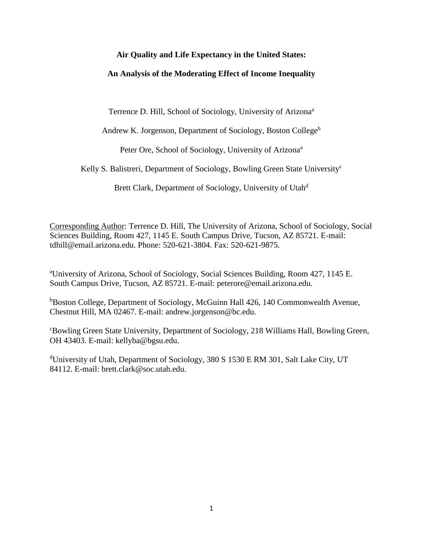# **Air Quality and Life Expectancy in the United States:**

# **An Analysis of the Moderating Effect of Income Inequality**

Terrence D. Hill, School of Sociology, University of Arizona<sup>a</sup>

Andrew K. Jorgenson, Department of Sociology, Boston College<sup>b</sup>

Peter Ore, School of Sociology, University of Arizona<sup>a</sup>

Kelly S. Balistreri, Department of Sociology, Bowling Green State University<sup>c</sup>

Brett Clark, Department of Sociology, University of Utah<sup>d</sup>

Corresponding Author: Terrence D. Hill, The University of Arizona, School of Sociology, Social Sciences Building, Room 427, 1145 E. South Campus Drive, Tucson, AZ 85721. E-mail: tdhill@email.arizona.edu. Phone: 520-621-3804. Fax: 520-621-9875.

<sup>a</sup>University of Arizona, School of Sociology, Social Sciences Building, Room 427, 1145 E. South Campus Drive, Tucson, AZ 85721. E-mail: peterore@email.arizona.edu.

bBoston College, Department of Sociology, McGuinn Hall 426, 140 Commonwealth Avenue, Chestnut Hill, MA 02467. E-mail: andrew.jorgenson@bc.edu.

<sup>c</sup>Bowling Green State University, Department of Sociology, 218 Williams Hall, Bowling Green, OH 43403. E-mail: kellyba@bgsu.edu.

<sup>d</sup>University of Utah, Department of Sociology, 380 S 1530 E RM 301, Salt Lake City, UT 84112. E-mail: brett.clark@soc.utah.edu.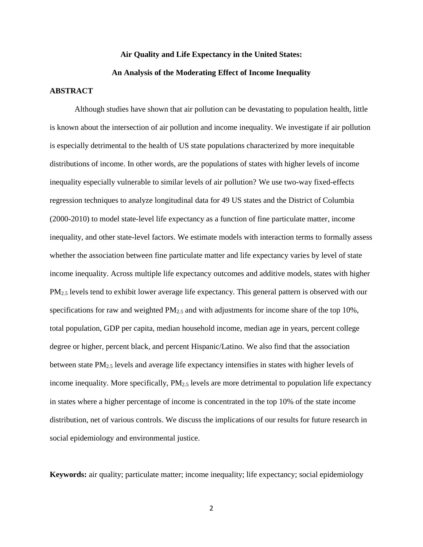# **Air Quality and Life Expectancy in the United States: An Analysis of the Moderating Effect of Income Inequality**

## **ABSTRACT**

Although studies have shown that air pollution can be devastating to population health, little is known about the intersection of air pollution and income inequality. We investigate if air pollution is especially detrimental to the health of US state populations characterized by more inequitable distributions of income. In other words, are the populations of states with higher levels of income inequality especially vulnerable to similar levels of air pollution? We use two-way fixed-effects regression techniques to analyze longitudinal data for 49 US states and the District of Columbia (2000-2010) to model state-level life expectancy as a function of fine particulate matter, income inequality, and other state-level factors. We estimate models with interaction terms to formally assess whether the association between fine particulate matter and life expectancy varies by level of state income inequality. Across multiple life expectancy outcomes and additive models, states with higher PM<sub>2.5</sub> levels tend to exhibit lower average life expectancy. This general pattern is observed with our specifications for raw and weighted  $PM_{2.5}$  and with adjustments for income share of the top 10%, total population, GDP per capita, median household income, median age in years, percent college degree or higher, percent black, and percent Hispanic/Latino. We also find that the association between state PM2.5 levels and average life expectancy intensifies in states with higher levels of income inequality. More specifically,  $PM_{2.5}$  levels are more detrimental to population life expectancy in states where a higher percentage of income is concentrated in the top 10% of the state income distribution, net of various controls. We discuss the implications of our results for future research in social epidemiology and environmental justice.

**Keywords:** air quality; particulate matter; income inequality; life expectancy; social epidemiology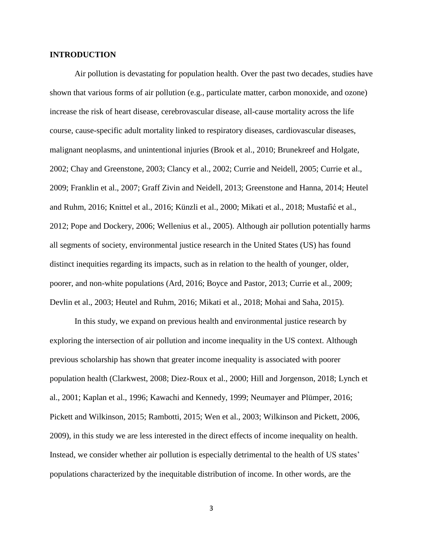### **INTRODUCTION**

Air pollution is devastating for population health. Over the past two decades, studies have shown that various forms of air pollution (e.g., particulate matter, carbon monoxide, and ozone) increase the risk of heart disease, cerebrovascular disease, all-cause mortality across the life course, cause-specific adult mortality linked to respiratory diseases, cardiovascular diseases, malignant neoplasms, and unintentional injuries (Brook et al., 2010; Brunekreef and Holgate, 2002; Chay and Greenstone, 2003; Clancy et al., 2002; Currie and Neidell, 2005; Currie et al., 2009; Franklin et al., 2007; Graff Zivin and Neidell, 2013; Greenstone and Hanna, 2014; Heutel and Ruhm, 2016; Knittel et al., 2016; Künzli et al., 2000; Mikati et al., 2018; Mustafić et al., 2012; Pope and Dockery, 2006; Wellenius et al., 2005). Although air pollution potentially harms all segments of society, environmental justice research in the United States (US) has found distinct inequities regarding its impacts, such as in relation to the health of younger, older, poorer, and non-white populations (Ard, 2016; Boyce and Pastor, 2013; Currie et al., 2009; Devlin et al., 2003; Heutel and Ruhm, 2016; Mikati et al., 2018; Mohai and Saha, 2015).

In this study, we expand on previous health and environmental justice research by exploring the intersection of air pollution and income inequality in the US context. Although previous scholarship has shown that greater income inequality is associated with poorer population health (Clarkwest, 2008; Diez-Roux et al., 2000; Hill and Jorgenson, 2018; Lynch et al., 2001; Kaplan et al., 1996; Kawachi and Kennedy, 1999; Neumayer and Plümper, 2016; Pickett and Wilkinson, 2015; Rambotti, 2015; Wen et al., 2003; Wilkinson and Pickett, 2006, 2009), in this study we are less interested in the direct effects of income inequality on health. Instead, we consider whether air pollution is especially detrimental to the health of US states' populations characterized by the inequitable distribution of income. In other words, are the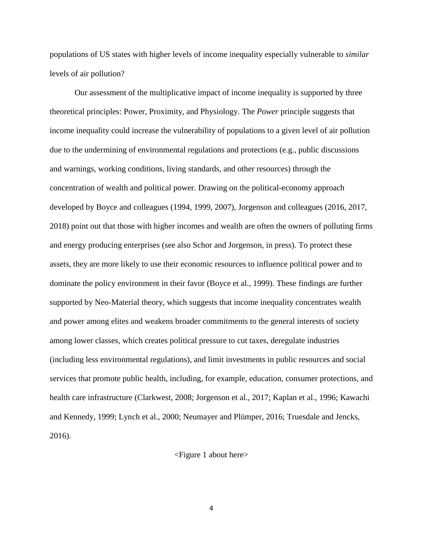populations of US states with higher levels of income inequality especially vulnerable to *similar*  levels of air pollution?

Our assessment of the multiplicative impact of income inequality is supported by three theoretical principles: Power, Proximity, and Physiology. The *Power* principle suggests that income inequality could increase the vulnerability of populations to a given level of air pollution due to the undermining of environmental regulations and protections (e.g., public discussions and warnings, working conditions, living standards, and other resources) through the concentration of wealth and political power. Drawing on the political-economy approach developed by Boyce and colleagues (1994, 1999, 2007), Jorgenson and colleagues (2016, 2017, 2018) point out that those with higher incomes and wealth are often the owners of polluting firms and energy producing enterprises (see also Schor and Jorgenson, in press). To protect these assets, they are more likely to use their economic resources to influence political power and to dominate the policy environment in their favor (Boyce et al., 1999). These findings are further supported by Neo-Material theory, which suggests that income inequality concentrates wealth and power among elites and weakens broader commitments to the general interests of society among lower classes, which creates political pressure to cut taxes, deregulate industries (including less environmental regulations), and limit investments in public resources and social services that promote public health, including, for example, education, consumer protections, and health care infrastructure (Clarkwest, 2008; Jorgenson et al., 2017; Kaplan et al., 1996; Kawachi and Kennedy, 1999; Lynch et al., 2000; Neumayer and Plümper, 2016; Truesdale and Jencks, 2016).

<Figure 1 about here>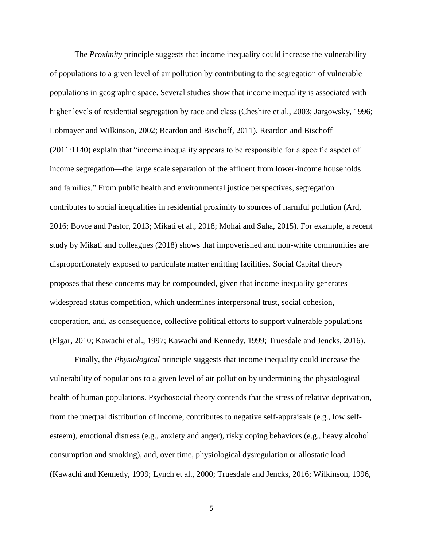The *Proximity* principle suggests that income inequality could increase the vulnerability of populations to a given level of air pollution by contributing to the segregation of vulnerable populations in geographic space. Several studies show that income inequality is associated with higher levels of residential segregation by race and class (Cheshire et al., 2003; Jargowsky, 1996; Lobmayer and Wilkinson, 2002; Reardon and Bischoff, 2011). Reardon and Bischoff (2011:1140) explain that "income inequality appears to be responsible for a specific aspect of income segregation—the large scale separation of the affluent from lower-income households and families." From public health and environmental justice perspectives, segregation contributes to social inequalities in residential proximity to sources of harmful pollution (Ard, 2016; Boyce and Pastor, 2013; Mikati et al., 2018; Mohai and Saha, 2015). For example, a recent study by Mikati and colleagues (2018) shows that impoverished and non-white communities are disproportionately exposed to particulate matter emitting facilities. Social Capital theory proposes that these concerns may be compounded, given that income inequality generates widespread status competition, which undermines interpersonal trust, social cohesion, cooperation, and, as consequence, collective political efforts to support vulnerable populations (Elgar, 2010; Kawachi et al., 1997; Kawachi and Kennedy, 1999; Truesdale and Jencks, 2016).

Finally, the *Physiological* principle suggests that income inequality could increase the vulnerability of populations to a given level of air pollution by undermining the physiological health of human populations. Psychosocial theory contends that the stress of relative deprivation, from the unequal distribution of income, contributes to negative self-appraisals (e.g., low selfesteem), emotional distress (e.g., anxiety and anger), risky coping behaviors (e.g., heavy alcohol consumption and smoking), and, over time, physiological dysregulation or allostatic load (Kawachi and Kennedy, 1999; Lynch et al., 2000; Truesdale and Jencks, 2016; Wilkinson, 1996,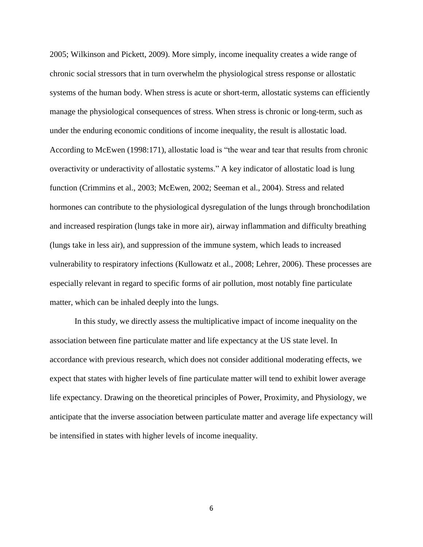2005; Wilkinson and Pickett, 2009). More simply, income inequality creates a wide range of chronic social stressors that in turn overwhelm the physiological stress response or allostatic systems of the human body. When stress is acute or short-term, allostatic systems can efficiently manage the physiological consequences of stress. When stress is chronic or long-term, such as under the enduring economic conditions of income inequality, the result is allostatic load. According to McEwen (1998:171), allostatic load is "the wear and tear that results from chronic overactivity or underactivity of allostatic systems." A key indicator of allostatic load is lung function (Crimmins et al., 2003; McEwen, 2002; Seeman et al., 2004). Stress and related hormones can contribute to the physiological dysregulation of the lungs through bronchodilation and increased respiration (lungs take in more air), airway inflammation and difficulty breathing (lungs take in less air), and suppression of the immune system, which leads to increased vulnerability to respiratory infections (Kullowatz et al., 2008; Lehrer, 2006). These processes are especially relevant in regard to specific forms of air pollution, most notably fine particulate matter, which can be inhaled deeply into the lungs.

In this study, we directly assess the multiplicative impact of income inequality on the association between fine particulate matter and life expectancy at the US state level. In accordance with previous research, which does not consider additional moderating effects, we expect that states with higher levels of fine particulate matter will tend to exhibit lower average life expectancy. Drawing on the theoretical principles of Power, Proximity, and Physiology, we anticipate that the inverse association between particulate matter and average life expectancy will be intensified in states with higher levels of income inequality.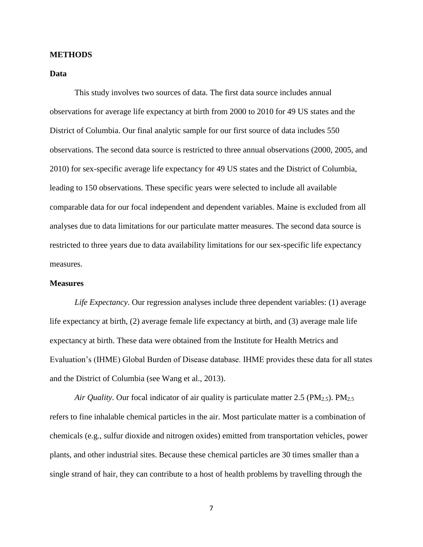#### **METHODS**

### **Data**

This study involves two sources of data. The first data source includes annual observations for average life expectancy at birth from 2000 to 2010 for 49 US states and the District of Columbia. Our final analytic sample for our first source of data includes 550 observations. The second data source is restricted to three annual observations (2000, 2005, and 2010) for sex-specific average life expectancy for 49 US states and the District of Columbia, leading to 150 observations. These specific years were selected to include all available comparable data for our focal independent and dependent variables. Maine is excluded from all analyses due to data limitations for our particulate matter measures. The second data source is restricted to three years due to data availability limitations for our sex-specific life expectancy measures.

### **Measures**

*Life Expectancy*. Our regression analyses include three dependent variables: (1) average life expectancy at birth, (2) average female life expectancy at birth, and (3) average male life expectancy at birth. These data were obtained from the Institute for Health Metrics and Evaluation's (IHME) Global Burden of Disease database. IHME provides these data for all states and the District of Columbia (see Wang et al., 2013).

*Air Quality.* Our focal indicator of air quality is particulate matter 2.5 (PM<sub>2.5</sub>). PM<sub>2.5</sub> refers to fine inhalable chemical particles in the air. Most particulate matter is a combination of chemicals (e.g., sulfur dioxide and nitrogen oxides) emitted from transportation vehicles, power plants, and other industrial sites. Because these chemical particles are 30 times smaller than a single strand of hair, they can contribute to a host of health problems by travelling through the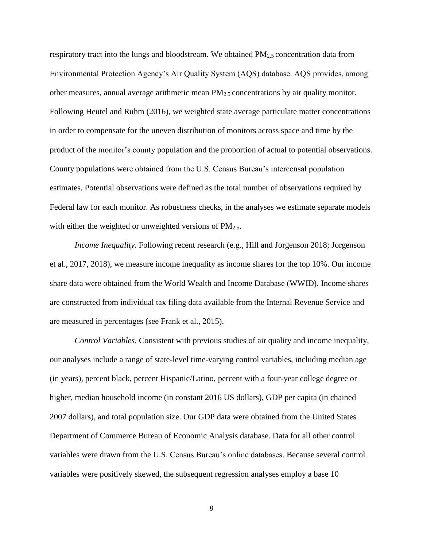respiratory tract into the lungs and bloodstream. We obtained PM2.5 concentration data from Environmental Protection Agency's Air Quality System (AQS) database. AQS provides, among other measures, annual average arithmetic mean  $PM_{2.5}$  concentrations by air quality monitor. Following Heutel and Ruhm (2016), we weighted state average particulate matter concentrations in order to compensate for the uneven distribution of monitors across space and time by the product of the monitor's county population and the proportion of actual to potential observations. County populations were obtained from the U.S. Census Bureau's intercensal population estimates. Potential observations were defined as the total number of observations required by Federal law for each monitor. As robustness checks, in the analyses we estimate separate models with either the weighted or unweighted versions of  $PM_{2.5}$ .

*Income Inequality.* Following recent research (e.g., Hill and Jorgenson 2018; Jorgenson et al., 2017, 2018), we measure income inequality as income shares for the top 10%. Our income share data were obtained from the World Wealth and Income Database (WWID). Income shares are constructed from individual tax filing data available from the Internal Revenue Service and are measured in percentages (see Frank et al., 2015).

*Control Variables.* Consistent with previous studies of air quality and income inequality, our analyses include a range of state-level time-varying control variables, including median age (in years), percent black, percent Hispanic/Latino, percent with a four-year college degree or higher, median household income (in constant 2016 US dollars), GDP per capita (in chained 2007 dollars), and total population size. Our GDP data were obtained from the United States Department of Commerce Bureau of Economic Analysis database. Data for all other control variables were drawn from the U.S. Census Bureau's online databases. Because several control variables were positively skewed, the subsequent regression analyses employ a base 10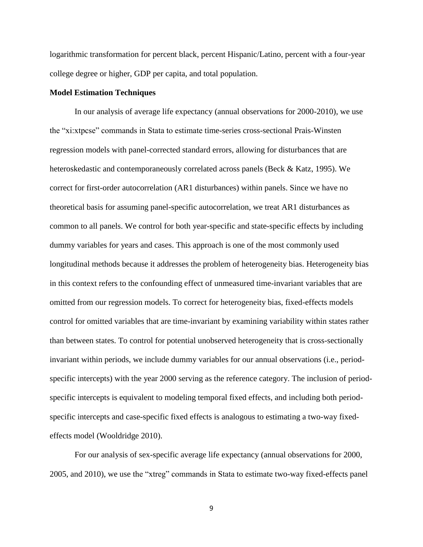logarithmic transformation for percent black, percent Hispanic/Latino, percent with a four-year college degree or higher, GDP per capita, and total population.

#### **Model Estimation Techniques**

In our analysis of average life expectancy (annual observations for 2000-2010), we use the "xi:xtpcse" commands in Stata to estimate time-series cross-sectional Prais-Winsten regression models with panel-corrected standard errors, allowing for disturbances that are heteroskedastic and contemporaneously correlated across panels (Beck & Katz, 1995). We correct for first-order autocorrelation (AR1 disturbances) within panels. Since we have no theoretical basis for assuming panel-specific autocorrelation, we treat AR1 disturbances as common to all panels. We control for both year-specific and state-specific effects by including dummy variables for years and cases. This approach is one of the most commonly used longitudinal methods because it addresses the problem of heterogeneity bias. Heterogeneity bias in this context refers to the confounding effect of unmeasured time-invariant variables that are omitted from our regression models. To correct for heterogeneity bias, fixed-effects models control for omitted variables that are time-invariant by examining variability within states rather than between states. To control for potential unobserved heterogeneity that is cross-sectionally invariant within periods, we include dummy variables for our annual observations (i.e., periodspecific intercepts) with the year 2000 serving as the reference category. The inclusion of periodspecific intercepts is equivalent to modeling temporal fixed effects, and including both periodspecific intercepts and case-specific fixed effects is analogous to estimating a two-way fixedeffects model (Wooldridge 2010).

For our analysis of sex-specific average life expectancy (annual observations for 2000, 2005, and 2010), we use the "xtreg" commands in Stata to estimate two-way fixed-effects panel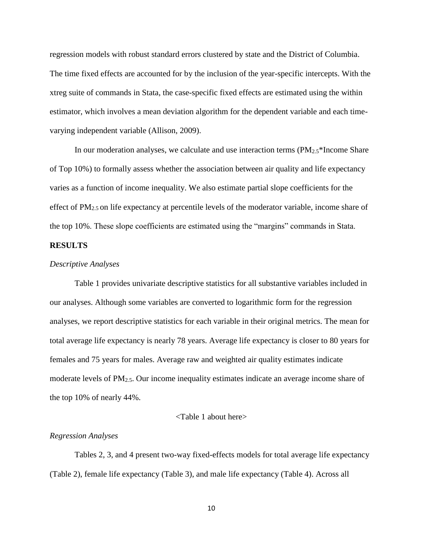regression models with robust standard errors clustered by state and the District of Columbia. The time fixed effects are accounted for by the inclusion of the year-specific intercepts. With the xtreg suite of commands in Stata, the case-specific fixed effects are estimated using the within estimator, which involves a mean deviation algorithm for the dependent variable and each timevarying independent variable (Allison, 2009).

In our moderation analyses, we calculate and use interaction terms  $(PM_{2.5}^*$ Income Share of Top 10%) to formally assess whether the association between air quality and life expectancy varies as a function of income inequality. We also estimate partial slope coefficients for the effect of PM2.5 on life expectancy at percentile levels of the moderator variable, income share of the top 10%. These slope coefficients are estimated using the "margins" commands in Stata.

## **RESULTS**

#### *Descriptive Analyses*

Table 1 provides univariate descriptive statistics for all substantive variables included in our analyses. Although some variables are converted to logarithmic form for the regression analyses, we report descriptive statistics for each variable in their original metrics. The mean for total average life expectancy is nearly 78 years. Average life expectancy is closer to 80 years for females and 75 years for males. Average raw and weighted air quality estimates indicate moderate levels of PM2.5. Our income inequality estimates indicate an average income share of the top 10% of nearly 44%.

#### <Table 1 about here>

#### *Regression Analyses*

Tables 2, 3, and 4 present two-way fixed-effects models for total average life expectancy (Table 2), female life expectancy (Table 3), and male life expectancy (Table 4). Across all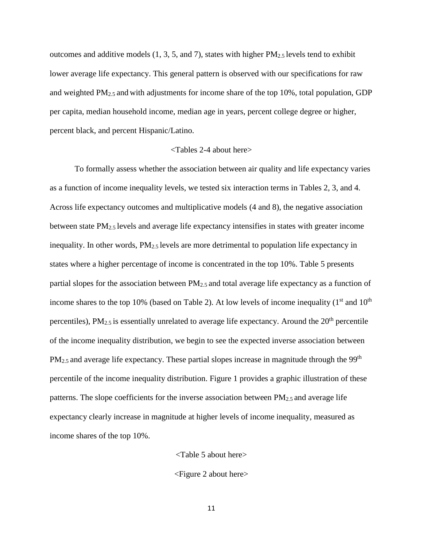outcomes and additive models (1, 3, 5, and 7), states with higher PM2.5 levels tend to exhibit lower average life expectancy. This general pattern is observed with our specifications for raw and weighted  $PM_{2.5}$  and with adjustments for income share of the top 10%, total population, GDP per capita, median household income, median age in years, percent college degree or higher, percent black, and percent Hispanic/Latino.

## <Tables 2-4 about here>

To formally assess whether the association between air quality and life expectancy varies as a function of income inequality levels, we tested six interaction terms in Tables 2, 3, and 4. Across life expectancy outcomes and multiplicative models (4 and 8), the negative association between state  $PM_{2.5}$  levels and average life expectancy intensifies in states with greater income inequality. In other words, PM2.5 levels are more detrimental to population life expectancy in states where a higher percentage of income is concentrated in the top 10%. Table 5 presents partial slopes for the association between PM2.5 and total average life expectancy as a function of income shares to the top 10% (based on Table 2). At low levels of income inequality  $(1<sup>st</sup>$  and  $10<sup>th</sup>$ percentiles),  $PM_{2.5}$  is essentially unrelated to average life expectancy. Around the  $20<sup>th</sup>$  percentile of the income inequality distribution, we begin to see the expected inverse association between  $PM_{2.5}$  and average life expectancy. These partial slopes increase in magnitude through the 99<sup>th</sup> percentile of the income inequality distribution. Figure 1 provides a graphic illustration of these patterns. The slope coefficients for the inverse association between  $PM_{2.5}$  and average life expectancy clearly increase in magnitude at higher levels of income inequality, measured as income shares of the top 10%.

<Table 5 about here>

<Figure 2 about here>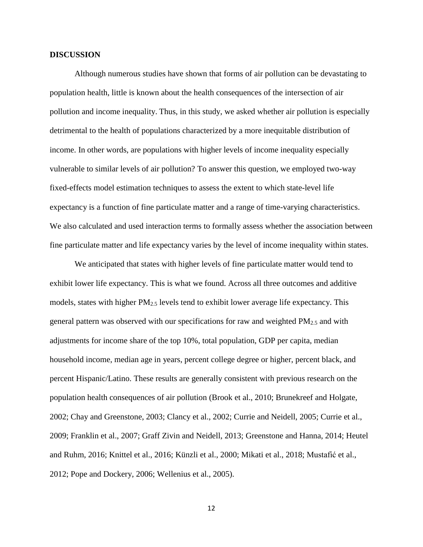#### **DISCUSSION**

Although numerous studies have shown that forms of air pollution can be devastating to population health, little is known about the health consequences of the intersection of air pollution and income inequality. Thus, in this study, we asked whether air pollution is especially detrimental to the health of populations characterized by a more inequitable distribution of income. In other words, are populations with higher levels of income inequality especially vulnerable to similar levels of air pollution? To answer this question, we employed two-way fixed-effects model estimation techniques to assess the extent to which state-level life expectancy is a function of fine particulate matter and a range of time-varying characteristics. We also calculated and used interaction terms to formally assess whether the association between fine particulate matter and life expectancy varies by the level of income inequality within states.

We anticipated that states with higher levels of fine particulate matter would tend to exhibit lower life expectancy. This is what we found. Across all three outcomes and additive models, states with higher  $PM_{2.5}$  levels tend to exhibit lower average life expectancy. This general pattern was observed with our specifications for raw and weighted  $PM_{2.5}$  and with adjustments for income share of the top 10%, total population, GDP per capita, median household income, median age in years, percent college degree or higher, percent black, and percent Hispanic/Latino. These results are generally consistent with previous research on the population health consequences of air pollution (Brook et al., 2010; Brunekreef and Holgate, 2002; Chay and Greenstone, 2003; Clancy et al., 2002; Currie and Neidell, 2005; Currie et al., 2009; Franklin et al., 2007; Graff Zivin and Neidell, 2013; Greenstone and Hanna, 2014; Heutel and Ruhm, 2016; Knittel et al., 2016; Künzli et al., 2000; Mikati et al., 2018; Mustafić et al., 2012; Pope and Dockery, 2006; Wellenius et al., 2005).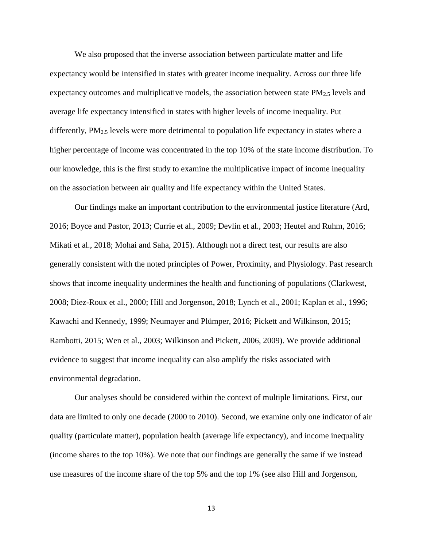We also proposed that the inverse association between particulate matter and life expectancy would be intensified in states with greater income inequality. Across our three life expectancy outcomes and multiplicative models, the association between state  $PM_{2.5}$  levels and average life expectancy intensified in states with higher levels of income inequality. Put differently,  $PM_{2.5}$  levels were more detrimental to population life expectancy in states where a higher percentage of income was concentrated in the top 10% of the state income distribution. To our knowledge, this is the first study to examine the multiplicative impact of income inequality on the association between air quality and life expectancy within the United States.

Our findings make an important contribution to the environmental justice literature (Ard, 2016; Boyce and Pastor, 2013; Currie et al., 2009; Devlin et al., 2003; Heutel and Ruhm, 2016; Mikati et al., 2018; Mohai and Saha, 2015). Although not a direct test, our results are also generally consistent with the noted principles of Power, Proximity, and Physiology. Past research shows that income inequality undermines the health and functioning of populations (Clarkwest, 2008; Diez-Roux et al., 2000; Hill and Jorgenson, 2018; Lynch et al., 2001; Kaplan et al., 1996; Kawachi and Kennedy, 1999; Neumayer and Plümper, 2016; Pickett and Wilkinson, 2015; Rambotti, 2015; Wen et al., 2003; Wilkinson and Pickett, 2006, 2009). We provide additional evidence to suggest that income inequality can also amplify the risks associated with environmental degradation.

Our analyses should be considered within the context of multiple limitations. First, our data are limited to only one decade (2000 to 2010). Second, we examine only one indicator of air quality (particulate matter), population health (average life expectancy), and income inequality (income shares to the top 10%). We note that our findings are generally the same if we instead use measures of the income share of the top 5% and the top 1% (see also Hill and Jorgenson,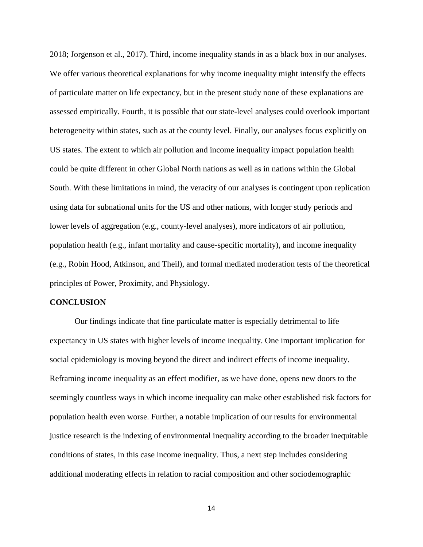2018; Jorgenson et al., 2017). Third, income inequality stands in as a black box in our analyses. We offer various theoretical explanations for why income inequality might intensify the effects of particulate matter on life expectancy, but in the present study none of these explanations are assessed empirically. Fourth, it is possible that our state-level analyses could overlook important heterogeneity within states, such as at the county level. Finally, our analyses focus explicitly on US states. The extent to which air pollution and income inequality impact population health could be quite different in other Global North nations as well as in nations within the Global South. With these limitations in mind, the veracity of our analyses is contingent upon replication using data for subnational units for the US and other nations, with longer study periods and lower levels of aggregation (e.g., county-level analyses), more indicators of air pollution, population health (e.g., infant mortality and cause-specific mortality), and income inequality (e.g., Robin Hood, Atkinson, and Theil), and formal mediated moderation tests of the theoretical principles of Power, Proximity, and Physiology.

#### **CONCLUSION**

Our findings indicate that fine particulate matter is especially detrimental to life expectancy in US states with higher levels of income inequality. One important implication for social epidemiology is moving beyond the direct and indirect effects of income inequality. Reframing income inequality as an effect modifier, as we have done, opens new doors to the seemingly countless ways in which income inequality can make other established risk factors for population health even worse. Further, a notable implication of our results for environmental justice research is the indexing of environmental inequality according to the broader inequitable conditions of states, in this case income inequality. Thus, a next step includes considering additional moderating effects in relation to racial composition and other sociodemographic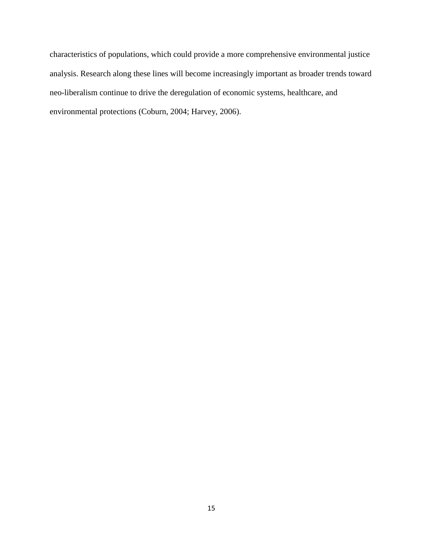characteristics of populations, which could provide a more comprehensive environmental justice analysis. Research along these lines will become increasingly important as broader trends toward neo-liberalism continue to drive the deregulation of economic systems, healthcare, and environmental protections (Coburn, 2004; Harvey, 2006).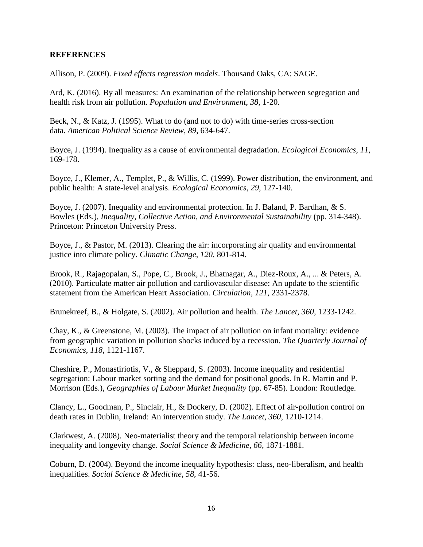## **REFERENCES**

Allison, P. (2009). *Fixed effects regression models*. Thousand Oaks, CA: SAGE.

Ard, K. (2016). By all measures: An examination of the relationship between segregation and health risk from air pollution. *Population and Environment*, *38*, 1-20.

Beck, N., & Katz, J. (1995). What to do (and not to do) with time-series cross-section data. *American Political Science Review*, *89*, 634-647.

Boyce, J. (1994). Inequality as a cause of environmental degradation. *Ecological Economics*, *11*, 169-178.

Boyce, J., Klemer, A., Templet, P., & Willis, C. (1999). Power distribution, the environment, and public health: A state-level analysis. *Ecological Economics*, *29*, 127-140.

Boyce, J. (2007). Inequality and environmental protection. In J. Baland, P. Bardhan, & S. Bowles (Eds.), *Inequality, Collective Action, and Environmental Sustainability* (pp. 314-348). Princeton: Princeton University Press.

Boyce, J., & Pastor, M. (2013). Clearing the air: incorporating air quality and environmental justice into climate policy. *Climatic Change*, *120*, 801-814.

Brook, R., Rajagopalan, S., Pope, C., Brook, J., Bhatnagar, A., Diez-Roux, A., ... & Peters, A. (2010). Particulate matter air pollution and cardiovascular disease: An update to the scientific statement from the American Heart Association. *Circulation*, *121*, 2331-2378.

Brunekreef, B., & Holgate, S. (2002). Air pollution and health. *The Lancet*, *360*, 1233-1242.

Chay, K., & Greenstone, M. (2003). The impact of air pollution on infant mortality: evidence from geographic variation in pollution shocks induced by a recession. *The Quarterly Journal of Economics*, *118*, 1121-1167.

Cheshire, P., Monastiriotis, V., & Sheppard, S. (2003). Income inequality and residential segregation: Labour market sorting and the demand for positional goods. In R. Martin and P. Morrison (Eds.), *Geographies of Labour Market Inequality* (pp. 67-85). London: Routledge.

Clancy, L., Goodman, P., Sinclair, H., & Dockery, D. (2002). Effect of air-pollution control on death rates in Dublin, Ireland: An intervention study. *The Lancet*, *360*, 1210-1214.

Clarkwest, A. (2008). Neo-materialist theory and the temporal relationship between income inequality and longevity change. *Social Science & Medicine*, *66*, 1871-1881.

Coburn, D. (2004). Beyond the income inequality hypothesis: class, neo-liberalism, and health inequalities. *Social Science & Medicine*, *58*, 41-56.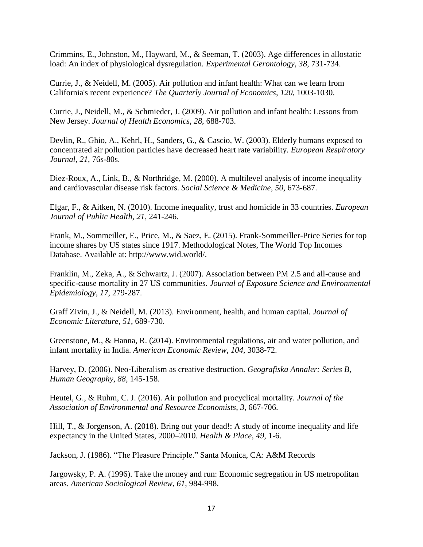Crimmins, E., Johnston, M., Hayward, M., & Seeman, T. (2003). Age differences in allostatic load: An index of physiological dysregulation. *Experimental Gerontology*, *38*, 731-734.

Currie, J., & Neidell, M. (2005). Air pollution and infant health: What can we learn from California's recent experience? *The Quarterly Journal of Economics*, *120*, 1003-1030.

Currie, J., Neidell, M., & Schmieder, J. (2009). Air pollution and infant health: Lessons from New Jersey. *Journal of Health Economics*, *28*, 688-703.

Devlin, R., Ghio, A., Kehrl, H., Sanders, G., & Cascio, W. (2003). Elderly humans exposed to concentrated air pollution particles have decreased heart rate variability. *European Respiratory Journal*, *21*, 76s-80s.

Diez-Roux, A., Link, B., & Northridge, M. (2000). A multilevel analysis of income inequality and cardiovascular disease risk factors. *Social Science & Medicine*, *50*, 673-687.

Elgar, F., & Aitken, N. (2010). Income inequality, trust and homicide in 33 countries. *European Journal of Public Health*, *21*, 241-246.

Frank, M., Sommeiller, E., Price, M., & Saez, E. (2015). Frank-Sommeiller-Price Series for top income shares by US states since 1917. Methodological Notes, The World Top Incomes Database. Available at: http://www.wid.world/.

Franklin, M., Zeka, A., & Schwartz, J. (2007). Association between PM 2.5 and all-cause and specific-cause mortality in 27 US communities. *Journal of Exposure Science and Environmental Epidemiology*, *17*, 279-287.

Graff Zivin, J., & Neidell, M. (2013). Environment, health, and human capital. *Journal of Economic Literature*, *51*, 689-730.

Greenstone, M., & Hanna, R. (2014). Environmental regulations, air and water pollution, and infant mortality in India. *American Economic Review*, *104*, 3038-72.

Harvey, D. (2006). Neo‐Liberalism as creative destruction. *Geografiska Annaler: Series B, Human Geography*, *88*, 145-158.

Heutel, G., & Ruhm, C. J. (2016). Air pollution and procyclical mortality. *Journal of the Association of Environmental and Resource Economists*, *3*, 667-706.

Hill, T., & Jorgenson, A. (2018). Bring out your dead!: A study of income inequality and life expectancy in the United States, 2000–2010. *Health & Place*, *49*, 1-6.

Jackson, J. (1986). "The Pleasure Principle." Santa Monica, CA: A&M Records

Jargowsky, P. A. (1996). Take the money and run: Economic segregation in US metropolitan areas. *American Sociological Review*, *61*, 984-998.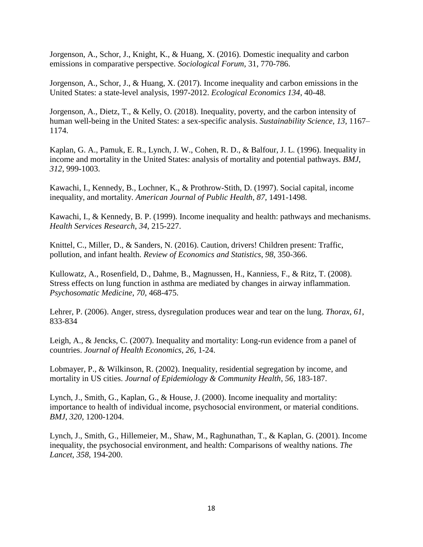Jorgenson, A., Schor, J., Knight, K., & Huang, X. (2016). Domestic inequality and carbon emissions in comparative perspective. *Sociological Forum*, 31, 770-786.

Jorgenson, A., Schor, J., & Huang, X. (2017). Income inequality and carbon emissions in the United States: a state-level analysis, 1997-2012. *Ecological Economics 134*, 40-48.

Jorgenson, A., Dietz, T., & Kelly, O. (2018). Inequality, poverty, and the carbon intensity of human well-being in the United States: a sex-specific analysis. *Sustainability Science*, *13*, 1167– 1174.

Kaplan, G. A., Pamuk, E. R., Lynch, J. W., Cohen, R. D., & Balfour, J. L. (1996). Inequality in income and mortality in the United States: analysis of mortality and potential pathways. *BMJ*, *312*, 999-1003.

Kawachi, I., Kennedy, B., Lochner, K., & Prothrow-Stith, D. (1997). Social capital, income inequality, and mortality. *American Journal of Public Health*, *87*, 1491-1498.

Kawachi, I., & Kennedy, B. P. (1999). Income inequality and health: pathways and mechanisms. *Health Services Research*, *34*, 215-227.

Knittel, C., Miller, D., & Sanders, N. (2016). Caution, drivers! Children present: Traffic, pollution, and infant health. *Review of Economics and Statistics*, *98*, 350-366.

Kullowatz, A., Rosenfield, D., Dahme, B., Magnussen, H., Kanniess, F., & Ritz, T. (2008). Stress effects on lung function in asthma are mediated by changes in airway inflammation. *Psychosomatic Medicine*, *70*, 468-475.

Lehrer, P. (2006). Anger, stress, dysregulation produces wear and tear on the lung. *Thorax*, *61*, 833-834

Leigh, A., & Jencks, C. (2007). Inequality and mortality: Long-run evidence from a panel of countries. *Journal of Health Economics*, *26*, 1-24.

Lobmayer, P., & Wilkinson, R. (2002). Inequality, residential segregation by income, and mortality in US cities. *Journal of Epidemiology & Community Health*, *56*, 183-187.

Lynch, J., Smith, G., Kaplan, G., & House, J. (2000). Income inequality and mortality: importance to health of individual income, psychosocial environment, or material conditions. *BMJ*, *320*, 1200-1204.

Lynch, J., Smith, G., Hillemeier, M., Shaw, M., Raghunathan, T., & Kaplan, G. (2001). Income inequality, the psychosocial environment, and health: Comparisons of wealthy nations. *The Lancet*, *358*, 194-200.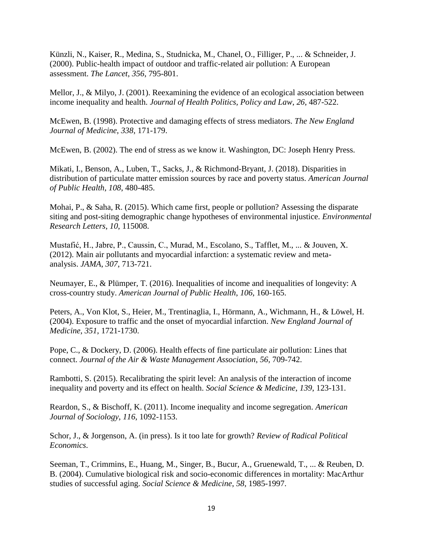Künzli, N., Kaiser, R., Medina, S., Studnicka, M., Chanel, O., Filliger, P., ... & Schneider, J. (2000). Public-health impact of outdoor and traffic-related air pollution: A European assessment. *The Lancet*, *356*, 795-801.

Mellor, J., & Milyo, J. (2001). Reexamining the evidence of an ecological association between income inequality and health. *Journal of Health Politics, Policy and Law*, *26*, 487-522.

McEwen, B. (1998). Protective and damaging effects of stress mediators. *The New England Journal of Medicine*, *338*, 171-179.

McEwen, B. (2002). The end of stress as we know it. Washington, DC: Joseph Henry Press.

Mikati, I., Benson, A., Luben, T., Sacks, J., & Richmond-Bryant, J. (2018). Disparities in distribution of particulate matter emission sources by race and poverty status. *American Journal of Public Health*, *108*, 480-485.

Mohai, P., & Saha, R. (2015). Which came first, people or pollution? Assessing the disparate siting and post-siting demographic change hypotheses of environmental injustice. *Environmental Research Letters*, *10*, 115008.

Mustafić, H., Jabre, P., Caussin, C., Murad, M., Escolano, S., Tafflet, M., ... & Jouven, X. (2012). Main air pollutants and myocardial infarction: a systematic review and metaanalysis. *JAMA*, *307*, 713-721.

Neumayer, E., & Plümper, T. (2016). Inequalities of income and inequalities of longevity: A cross-country study. *American Journal of Public Health*, *106*, 160-165.

Peters, A., Von Klot, S., Heier, M., Trentinaglia, I., Hörmann, A., Wichmann, H., & Löwel, H. (2004). Exposure to traffic and the onset of myocardial infarction. *New England Journal of Medicine*, *351*, 1721-1730.

Pope, C., & Dockery, D. (2006). Health effects of fine particulate air pollution: Lines that connect. *Journal of the Air & Waste Management Association*, *56*, 709-742.

Rambotti, S. (2015). Recalibrating the spirit level: An analysis of the interaction of income inequality and poverty and its effect on health. *Social Science & Medicine*, *139*, 123-131.

Reardon, S., & Bischoff, K. (2011). Income inequality and income segregation. *American Journal of Sociology*, *116*, 1092-1153.

Schor, J., & Jorgenson, A. (in press). Is it too late for growth? *Review of Radical Political Economics*.

Seeman, T., Crimmins, E., Huang, M., Singer, B., Bucur, A., Gruenewald, T., ... & Reuben, D. B. (2004). Cumulative biological risk and socio-economic differences in mortality: MacArthur studies of successful aging. *Social Science & Medicine*, *58*, 1985-1997.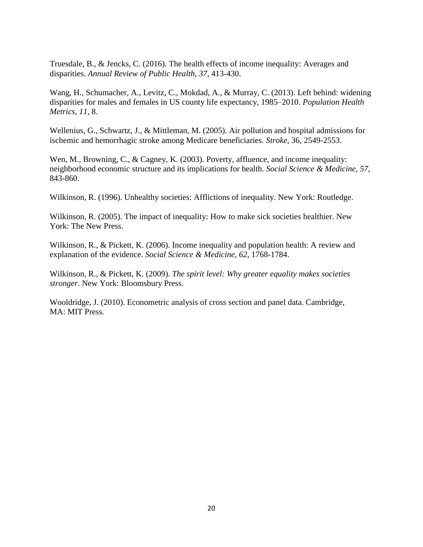Truesdale, B., & Jencks, C. (2016). The health effects of income inequality: Averages and disparities. *Annual Review of Public Health*, *37*, 413-430.

Wang, H., Schumacher, A., Levitz, C., Mokdad, A., & Murray, C. (2013). Left behind: widening disparities for males and females in US county life expectancy, 1985–2010. *Population Health Metrics*, *11*, 8.

Wellenius, G., Schwartz, J., & Mittleman, M. (2005). Air pollution and hospital admissions for ischemic and hemorrhagic stroke among Medicare beneficiaries. *Stroke*, 36, 2549-2553.

Wen, M., Browning, C., & Cagney, K. (2003). Poverty, affluence, and income inequality: neighborhood economic structure and its implications for health. *Social Science & Medicine*, *57*, 843-860.

Wilkinson, R. (1996). Unhealthy societies: Afflictions of inequality. New York: Routledge.

Wilkinson, R. (2005). The impact of inequality: How to make sick societies healthier. New York: The New Press.

Wilkinson, R., & Pickett, K. (2006). Income inequality and population health: A review and explanation of the evidence. *Social Science & Medicine*, *62*, 1768-1784.

Wilkinson, R., & Pickett, K. (2009). *The spirit level: Why greater equality makes societies stronger*. New York: Bloomsbury Press.

Wooldridge, J. (2010). Econometric analysis of cross section and panel data. Cambridge, MA: MIT Press.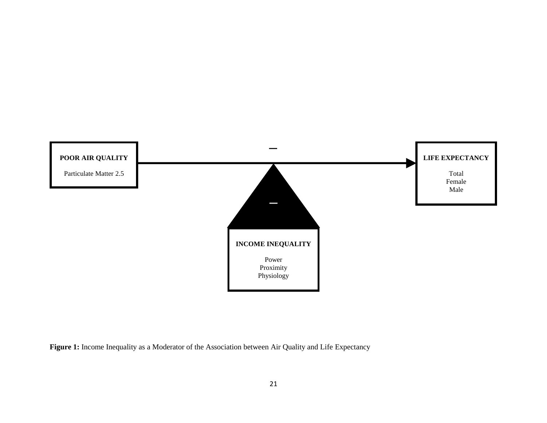

Figure 1: Income Inequality as a Moderator of the Association between Air Quality and Life Expectancy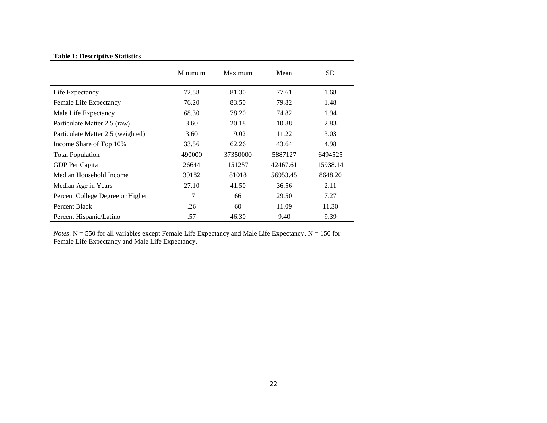## **Table 1: Descriptive Statistics**

|                                   | Minimum | Maximum  | Mean     | <b>SD</b> |
|-----------------------------------|---------|----------|----------|-----------|
| Life Expectancy                   | 72.58   | 81.30    | 77.61    | 1.68      |
| Female Life Expectancy            | 76.20   | 83.50    | 79.82    | 1.48      |
| Male Life Expectancy              | 68.30   | 78.20    | 74.82    | 1.94      |
| Particulate Matter 2.5 (raw)      | 3.60    | 20.18    | 10.88    | 2.83      |
| Particulate Matter 2.5 (weighted) | 3.60    | 19.02    | 11.22    | 3.03      |
| Income Share of Top 10%           | 33.56   | 62.26    | 43.64    | 4.98      |
| <b>Total Population</b>           | 490000  | 37350000 | 5887127  | 6494525   |
| GDP Per Capita                    | 26644   | 151257   | 42467.61 | 15938.14  |
| Median Household Income           | 39182   | 81018    | 56953.45 | 8648.20   |
| Median Age in Years               | 27.10   | 41.50    | 36.56    | 2.11      |
| Percent College Degree or Higher  | 17      | 66       | 29.50    | 7.27      |
| Percent Black                     | .26     | 60       | 11.09    | 11.30     |
| Percent Hispanic/Latino           | .57     | 46.30    | 9.40     | 9.39      |

*Notes*: N = 550 for all variables except Female Life Expectancy and Male Life Expectancy. N = 150 for Female Life Expectancy and Male Life Expectancy.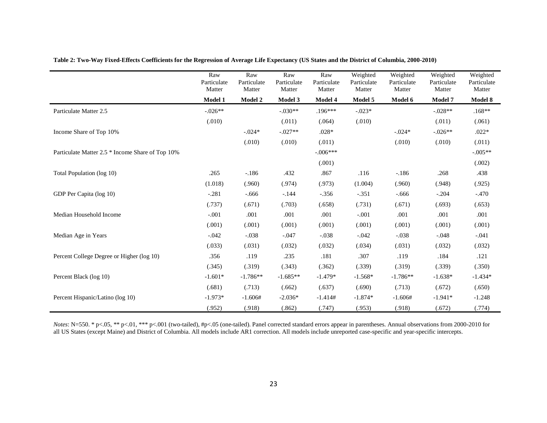|                                                  | Raw<br>Particulate<br>Matter | Raw<br>Particulate<br>Matter | Raw<br>Particulate<br>Matter | Raw<br>Particulate<br>Matter | Weighted<br>Particulate<br>Matter | Weighted<br>Particulate<br>Matter | Weighted<br>Particulate<br>Matter | Weighted<br>Particulate<br>Matter |
|--------------------------------------------------|------------------------------|------------------------------|------------------------------|------------------------------|-----------------------------------|-----------------------------------|-----------------------------------|-----------------------------------|
|                                                  | <b>Model 1</b>               | <b>Model 2</b>               | Model 3                      | Model 4                      | Model 5                           | Model 6                           | Model 7                           | Model 8                           |
| Particulate Matter 2.5                           | $-.026**$                    |                              | $-.030**$                    | $.196***$                    | $-.023*$                          |                                   | $-.028**$                         | $.168**$                          |
|                                                  | (.010)                       |                              | (.011)                       | (.064)                       | (.010)                            |                                   | (.011)                            | (.061)                            |
| Income Share of Top 10%                          |                              | $-.024*$                     | $-.027**$                    | $.028*$                      |                                   | $-.024*$                          | $-0.026**$                        | $.022*$                           |
|                                                  |                              | (.010)                       | (.010)                       | (.011)                       |                                   | (.010)                            | (.010)                            | (.011)                            |
| Particulate Matter 2.5 * Income Share of Top 10% |                              |                              |                              | $-.006***$                   |                                   |                                   |                                   | $-.005**$                         |
|                                                  |                              |                              |                              | (.001)                       |                                   |                                   |                                   | (.002)                            |
| Total Population (log 10)                        | .265                         | $-.186$                      | .432                         | .867                         | .116                              | $-.186$                           | .268                              | .438                              |
|                                                  | (1.018)                      | (.960)                       | (.974)                       | (.973)                       | (1.004)                           | (.960)                            | (.948)                            | (.925)                            |
| GDP Per Capita (log 10)                          | $-.281$                      | $-.666$                      | $-.144$                      | $-.356$                      | $-.351$                           | $-.666$                           | $-.204$                           | $-470$                            |
|                                                  | (.737)                       | (.671)                       | (.703)                       | (.658)                       | (.731)                            | (.671)                            | (.693)                            | (.653)                            |
| Median Household Income                          | $-.001$                      | .001                         | .001                         | .001                         | $-.001$                           | .001                              | .001                              | .001                              |
|                                                  | (.001)                       | (.001)                       | (.001)                       | (.001)                       | (.001)                            | (.001)                            | (.001)                            | (.001)                            |
| Median Age in Years                              | $-.042$                      | $-.038$                      | $-.047$                      | $-.038$                      | $-.042$                           | $-.038$                           | $-.048$                           | $-.041$                           |
|                                                  | (.033)                       | (.031)                       | (.032)                       | (.032)                       | (.034)                            | (.031)                            | (.032)                            | (.032)                            |
| Percent College Degree or Higher (log 10)        | .356                         | .119                         | .235                         | .181                         | .307                              | .119                              | .184                              | .121                              |
|                                                  | (.345)                       | (.319)                       | (.343)                       | (.362)                       | (.339)                            | (.319)                            | (.339)                            | (.350)                            |
| Percent Black (log 10)                           | $-1.601*$                    | $-1.786**$                   | $-1.685**$                   | $-1.479*$                    | $-1.568*$                         | $-1.786**$                        | $-1.638*$                         | $-1.434*$                         |
|                                                  | (.681)                       | (.713)                       | (.662)                       | (.637)                       | (.690)                            | (.713)                            | (.672)                            | (.650)                            |
| Percent Hispanic/Latino (log 10)                 | $-1.973*$                    | $-1.606#$                    | $-2.036*$                    | $-1.414#$                    | $-1.874*$                         | $-1.606#$                         | $-1.941*$                         | $-1.248$                          |
|                                                  | (.952)                       | (.918)                       | (.862)                       | (.747)                       | (.953)                            | (.918)                            | (.672)                            | (.774)                            |

**Table 2: Two-Way Fixed-Effects Coefficients for the Regression of Average Life Expectancy (US States and the District of Columbia, 2000-2010)**

*Notes*: N=550. \* p<.05, \*\* p<.01, \*\*\* p<.001 (two-tailed), #p<.05 (one-tailed). Panel corrected standard errors appear in parentheses. Annual observations from 2000-2010 for all US States (except Maine) and District of Columbia. All models include AR1 correction. All models include unreported case-specific and year-specific intercepts.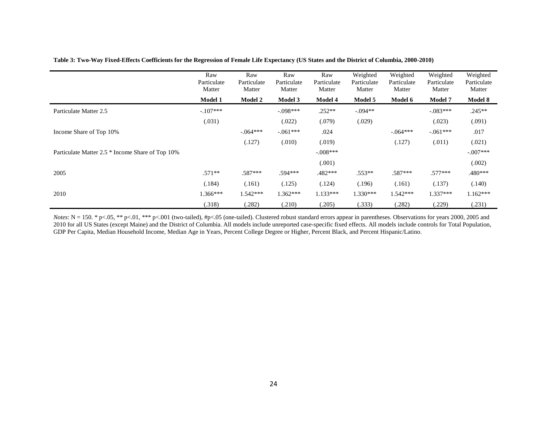|                                                  | Raw<br>Particulate<br>Matter | Raw<br>Particulate<br>Matter | Raw<br>Particulate<br>Matter | Raw<br>Particulate<br>Matter | Weighted<br>Particulate<br>Matter | Weighted<br>Particulate<br>Matter | Weighted<br>Particulate<br>Matter | Weighted<br>Particulate<br>Matter |
|--------------------------------------------------|------------------------------|------------------------------|------------------------------|------------------------------|-----------------------------------|-----------------------------------|-----------------------------------|-----------------------------------|
|                                                  | <b>Model 1</b>               | <b>Model 2</b>               | Model 3                      | Model 4                      | Model 5                           | <b>Model 6</b>                    | <b>Model 7</b>                    | Model 8                           |
| Particulate Matter 2.5                           | $-.107***$                   |                              | $-.098***$                   | $.252**$                     | $-.094**$                         |                                   | $-.083***$                        | $.245**$                          |
|                                                  | (.031)                       |                              | (.022)                       | (.079)                       | (.029)                            |                                   | (.023)                            | (.091)                            |
| Income Share of Top 10%                          |                              | $-.064***$                   | $-.061***$                   | .024                         |                                   | $-.064***$                        | $-.061***$                        | .017                              |
|                                                  |                              | (.127)                       | (.010)                       | (.019)                       |                                   | (.127)                            | (.011)                            | (.021)                            |
| Particulate Matter 2.5 * Income Share of Top 10% |                              |                              |                              | $-.008***$                   |                                   |                                   |                                   | $-.007***$                        |
|                                                  |                              |                              |                              | (.001)                       |                                   |                                   |                                   | (.002)                            |
| 2005                                             | $.571**$                     | $.587***$                    | .594***                      | $.482***$                    | .553**                            | $.587***$                         | $.577***$                         | .480***                           |
|                                                  | (.184)                       | (.161)                       | (.125)                       | (.124)                       | (.196)                            | (.161)                            | (.137)                            | (.140)                            |
| 2010                                             | $1.366***$                   | $1.542***$                   | $1.362***$                   | $1.133***$                   | $1.330***$                        | $1.542***$                        | $1.337***$                        | $1.162***$                        |
|                                                  | (.318)                       | (.282)                       | (.210)                       | (.205)                       | (.333)                            | (.282)                            | (.229)                            | (.231)                            |

#### **Table 3: Two-Way Fixed-Effects Coefficients for the Regression of Female Life Expectancy (US States and the District of Columbia, 2000-2010)**

*Notes*:  $N = 150$ . \* p<.05, \*\* p<.01, \*\*\* p<.001 (two-tailed), #p<.05 (one-tailed). Clustered robust standard errors appear in parentheses. Observations for years 2000, 2005 and 2010 for all US States (except Maine) and the District of Columbia. All models include unreported case-specific fixed effects. All models include controls for Total Population, GDP Per Capita, Median Household Income, Median Age in Years, Percent College Degree or Higher, Percent Black, and Percent Hispanic/Latino.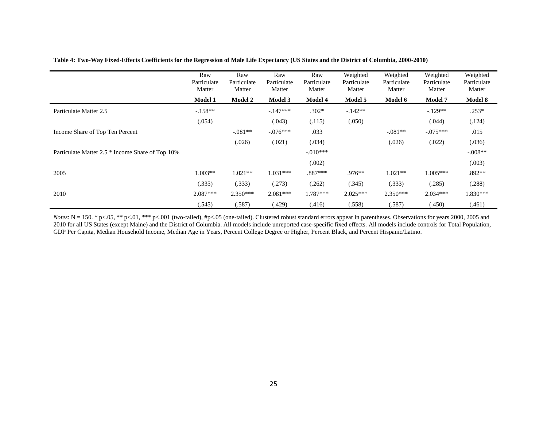|                                                  | Raw<br>Particulate<br>Matter | Raw<br>Particulate<br>Matter | Raw<br>Particulate<br>Matter | Raw<br>Particulate<br>Matter | Weighted<br>Particulate<br>Matter | Weighted<br>Particulate<br>Matter | Weighted<br>Particulate<br>Matter | Weighted<br>Particulate<br>Matter |
|--------------------------------------------------|------------------------------|------------------------------|------------------------------|------------------------------|-----------------------------------|-----------------------------------|-----------------------------------|-----------------------------------|
|                                                  | <b>Model 1</b>               | <b>Model 2</b>               | Model 3                      | <b>Model 4</b>               | Model 5                           | Model 6                           | <b>Model 7</b>                    | Model 8                           |
| Particulate Matter 2.5                           | $-.158**$                    |                              | $-147***$                    | $.302*$                      | $-142**$                          |                                   | $-.129**$                         | $.253*$                           |
|                                                  | (.054)                       |                              | (.043)                       | (.115)                       | (.050)                            |                                   | (.044)                            | (.124)                            |
| Income Share of Top Ten Percent                  |                              | $-.081**$                    | $-.076***$                   | .033                         |                                   | $-.081**$                         | $-.075***$                        | .015                              |
|                                                  |                              | (.026)                       | (.021)                       | (.034)                       |                                   | (.026)                            | (.022)                            | (.036)                            |
| Particulate Matter 2.5 * Income Share of Top 10% |                              |                              |                              | $-.010***$                   |                                   |                                   |                                   | $-.008**$                         |
|                                                  |                              |                              |                              | (.002)                       |                                   |                                   |                                   | (.003)                            |
| 2005                                             | $1.003**$                    | $1.021**$                    | $1.031***$                   | $.887***$                    | $.976**$                          | $1.021**$                         | $1.005***$                        | .892**                            |
|                                                  | (.335)                       | (.333)                       | (.273)                       | (.262)                       | (.345)                            | (.333)                            | (.285)                            | (.288)                            |
| 2010                                             | $2.087***$                   | $2.350***$                   | $2.081***$                   | $1.787***$                   | $2.025***$                        | $2.350***$                        | $2.034***$                        | 1.830***                          |
|                                                  | (.545)                       | (.587)                       | (.429)                       | (.416)                       | (.558)                            | (.587)                            | (.450)                            | (.461)                            |

#### **Table 4: Two-Way Fixed-Effects Coefficients for the Regression of Male Life Expectancy (US States and the District of Columbia, 2000-2010)**

*Notes*:  $N = 150$ . \* p<.05, \*\* p<.01, \*\*\* p<.001 (two-tailed), #p<.05 (one-tailed). Clustered robust standard errors appear in parentheses. Observations for years 2000, 2005 and 2010 for all US States (except Maine) and the District of Columbia. All models include unreported case-specific fixed effects. All models include controls for Total Population, GDP Per Capita, Median Household Income, Median Age in Years, Percent College Degree or Higher, Percent Black, and Percent Hispanic/Latino.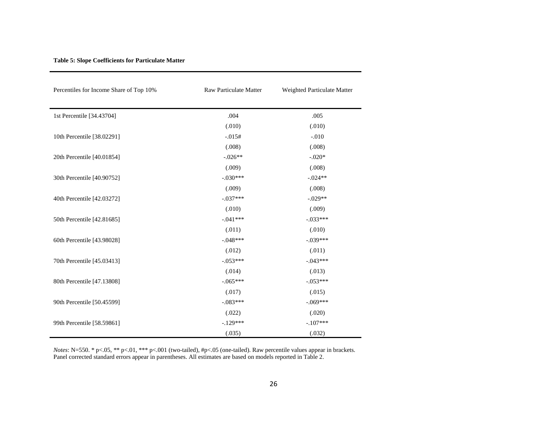| Percentiles for Income Share of Top 10% | Raw Particulate Matter | Weighted Particulate Matter |
|-----------------------------------------|------------------------|-----------------------------|
|                                         |                        |                             |
| 1st Percentile [34.43704]               | .004                   | .005                        |
|                                         | (.010)                 | (.010)                      |
| 10th Percentile [38.02291]              | $-.015#$               | $-.010$                     |
|                                         | (.008)                 | (.008)                      |
| 20th Percentile [40.01854]              | $-.026**$              | $-.020*$                    |
|                                         | (.009)                 | (.008)                      |
| 30th Percentile [40.90752]              | $-.030***$             | $-.024**$                   |
|                                         | (.009)                 | (.008)                      |
| 40th Percentile [42.03272]              | $-.037***$             | $-.029**$                   |
|                                         | (.010)                 | (.009)                      |
| 50th Percentile [42.81685]              | $-.041***$             | $-.033***$                  |
|                                         | (.011)                 | (.010)                      |
| 60th Percentile [43.98028]              | $-.048***$             | $-.039***$                  |
|                                         | (.012)                 | (.011)                      |
| 70th Percentile [45.03413]              | $-.053***$             | $-.043***$                  |
|                                         | (.014)                 | (.013)                      |
| 80th Percentile [47.13808]              | $-.065***$             | $-.053***$                  |
|                                         | (.017)                 | (.015)                      |
| 90th Percentile [50.45599]              | $-.083***$             | $-.069***$                  |
|                                         | (.022)                 | (.020)                      |
| 99th Percentile [58.59861]              | $-129***$              | $-.107***$                  |
|                                         | (.035)                 | (.032)                      |

#### **Table 5: Slope Coefficients for Particulate Matter**

*Notes*: N=550. \* p<.05, \*\* p<.01, \*\*\* p<.001 (two-tailed), #p<.05 (one-tailed). Raw percentile values appear in brackets. Panel corrected standard errors appear in parentheses. All estimates are based on models reported in Table 2.